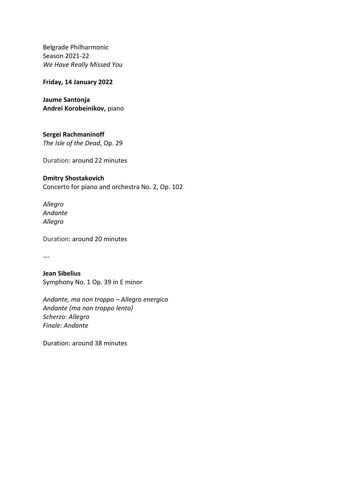Belgrade Philharmonic Season 2021-22 *Wе Have Really Missed You*

**Friday, 14 January 2022**

**Jaume Santonja Andrei Korobeinikov,** piano

**Sergei Rachmaninoff** *The Isle of the Dead*, Op. 29

Duration: around 22 minutes

## **Dmitry Shostakovich**

Concerto for piano and orchestra No. 2, Op. 102

*Allegro Andante Allegro*

Duration: around 20 minutes

---

**Jean Sibelius** Symphony No. 1 Оp. 39 in E minor

*Andante, ma non troppo – Аllegro energico Andante (ma non troppo lento) Scherzo: Allegro Finale: Andante* 

Duration: around 38 minutes